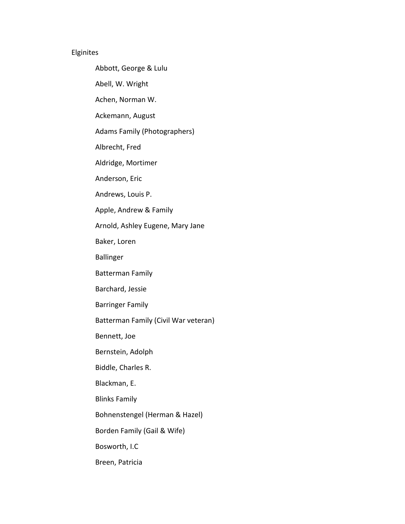## Elginites

Abbott, George & Lulu

Abell, W. Wright

Achen, Norman W.

Ackemann, August

Adams Family (Photographers)

Albrecht, Fred

Aldridge, Mortimer

Anderson, Eric

Andrews, Louis P.

Apple, Andrew & Family

Arnold, Ashley Eugene, Mary Jane

Baker, Loren

Ballinger

Batterman Family

Barchard, Jessie

Barringer Family

Batterman Family (Civil War veteran)

Bennett, Joe

Bernstein, Adolph

Biddle, Charles R.

Blackman, E.

Blinks Family

Bohnenstengel (Herman & Hazel)

Borden Family (Gail & Wife)

Bosworth, I.C

Breen, Patricia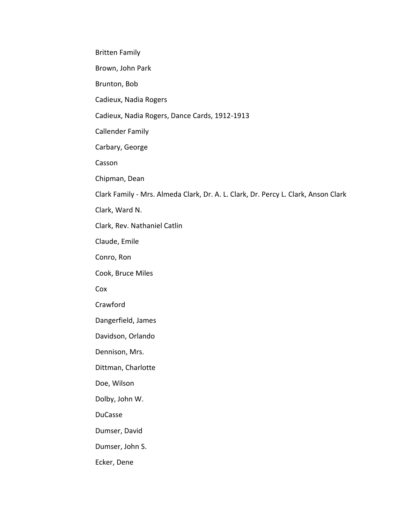Britten Family

Brown, John Park

Brunton, Bob

Cadieux, Nadia Rogers

Cadieux, Nadia Rogers, Dance Cards, 1912-1913

Callender Family

Carbary, George

Casson

Chipman, Dean

Clark Family - Mrs. Almeda Clark, Dr. A. L. Clark, Dr. Percy L. Clark, Anson Clark

Clark, Ward N.

Clark, Rev. Nathaniel Catlin

Claude, Emile

Conro, Ron

Cook, Bruce Miles

Cox

Crawford

Dangerfield, James

Davidson, Orlando

Dennison, Mrs.

Dittman, Charlotte

Doe, Wilson

Dolby, John W.

DuCasse

Dumser, David

Dumser, John S.

Ecker, Dene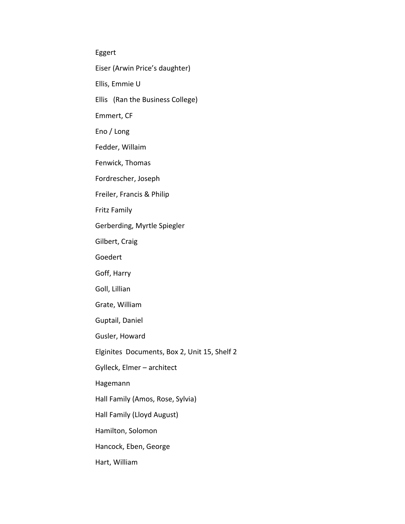Eggert

Eiser (Arwin Price's daughter)

Ellis, Emmie U

Ellis (Ran the Business College)

Emmert, CF

Eno / Long

Fedder, Willaim

Fenwick, Thomas

Fordrescher, Joseph

Freiler, Francis & Philip

Fritz Family

Gerberding, Myrtle Spiegler

Gilbert, Craig

Goedert

Goff, Harry

Goll, Lillian

Grate, William

Guptail, Daniel

Gusler, Howard

Elginites Documents, Box 2, Unit 15, Shelf 2

Gylleck, Elmer – architect

Hagemann

Hall Family (Amos, Rose, Sylvia)

Hall Family (Lloyd August)

Hamilton, Solomon

Hancock, Eben, George

Hart, William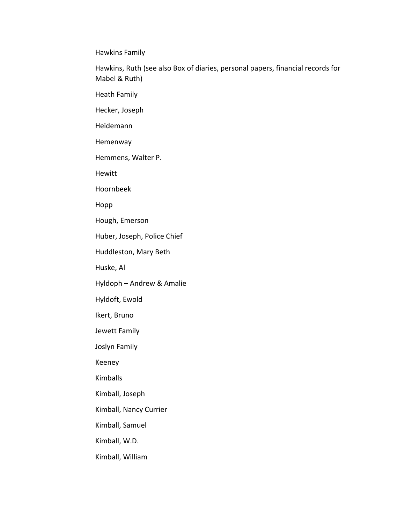Hawkins Family

Hawkins, Ruth (see also Box of diaries, personal papers, financial records for Mabel & Ruth)

Heath Family

Hecker, Joseph

Heidemann

Hemenway

Hemmens, Walter P.

Hewitt

Hoornbeek

Hopp

Hough, Emerson

Huber, Joseph, Police Chief

Huddleston, Mary Beth

Huske, Al

Hyldoph – Andrew & Amalie

Hyldoft, Ewold

Ikert, Bruno

Jewett Family

Joslyn Family

Keeney

Kimballs

Kimball, Joseph

Kimball, Nancy Currier

Kimball, Samuel

Kimball, W.D.

Kimball, William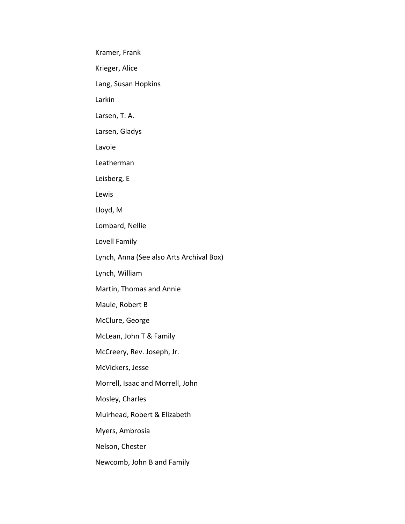Kramer, Frank

Krieger, Alice

Lang, Susan Hopkins

Larkin

Larsen, T. A.

Larsen, Gladys

Lavoie

Leatherman

Leisberg, E

Lewis

Lloyd, M

Lombard, Nellie

Lovell Family

Lynch, Anna (See also Arts Archival Box)

Lynch, William

Martin, Thomas and Annie

Maule, Robert B

McClure, George

McLean, John T & Family

McCreery, Rev. Joseph, Jr.

McVickers, Jesse

Morrell, Isaac and Morrell, John

Mosley, Charles

Muirhead, Robert & Elizabeth

Myers, Ambrosia

Nelson, Chester

Newcomb, John B and Family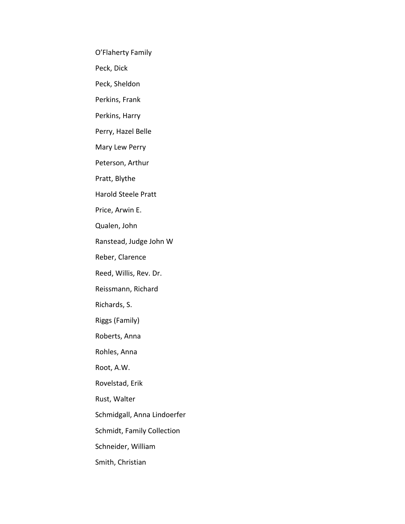O'Flaherty Family

Peck, Dick

Peck, Sheldon

Perkins, Frank

Perkins, Harry

Perry, Hazel Belle

Mary Lew Perry

Peterson, Arthur

Pratt, Blythe

Harold Steele Pratt

Price, Arwin E.

Qualen, John

Ranstead, Judge John W

Reber, Clarence

Reed, Willis, Rev. Dr.

Reissmann, Richard

Richards, S.

Riggs (Family)

Roberts, Anna

Rohles, Anna

Root, A.W.

Rovelstad, Erik

Rust, Walter

Schmidgall, Anna Lindoerfer

Schmidt, Family Collection

Schneider, William

Smith, Christian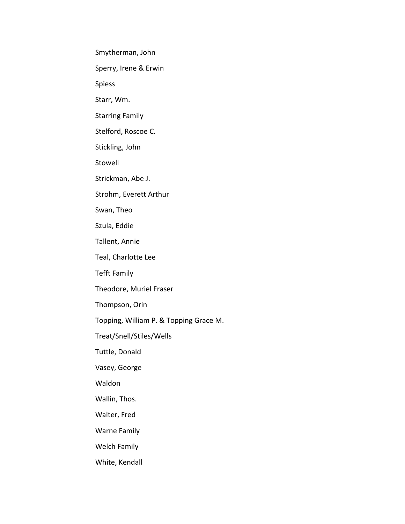Smytherman, John

Sperry, Irene & Erwin

Spiess

Starr, Wm.

Starring Family

Stelford, Roscoe C.

Stickling, John

Stowell

Strickman, Abe J.

Strohm, Everett Arthur

Swan, Theo

Szula, Eddie

Tallent, Annie

Teal, Charlotte Lee

Tefft Family

Theodore, Muriel Fraser

Thompson, Orin

Topping, William P. & Topping Grace M.

Treat/Snell/Stiles/Wells

Tuttle, Donald

Vasey, George

Waldon

Wallin, Thos.

Walter, Fred

Warne Family

Welch Family

White, Kendall